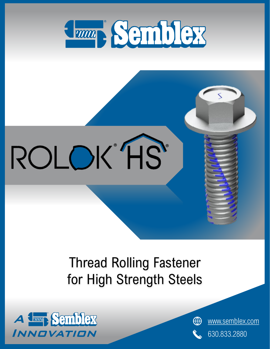

# ROLOK HS

### Thread Rolling Fastener for High Strength Steels



[www.semblex.com](http://www.semblex.com/) ⊕ 630.833.2880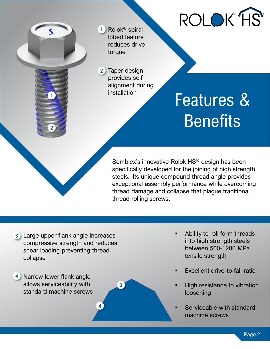

Rolok® spiral **1** lobed feature reduces drive torque

2 Taper design provides self alignment during installation

**3**

**4**

### Features & **Benefits**

Semblex's innovative Rolok HS® design has been specifically developed for the joining of high strength steels. Its unique compound thread angle provides exceptional assembly performance while overcoming thread damage and collapse that plague traditional thread rolling screws.

Large upper flank angle increases **3** compressive strength and reduces shear loading preventing thread collapse

4 Narrow lower flank angle allows serviceability with standard machine screws

**2**

**1**

- Ability to roll form threads into high strength steels between 500-1200 MPa tensile strength
- Excellent drive-to-fail ratio
- High resistance to vibration loosening
- Serviceable with standard machine screws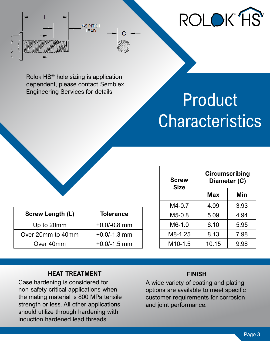

Rolok HS® hole sizing is application dependent, please contact Semblex Engineering Services for details.

4-5 PITCH **IFAD** 



| <b>Screw Length (L)</b> | <b>Tolerance</b> |
|-------------------------|------------------|
| Up to 20mm              | $+0.0/-0.8$ mm   |
| Over 20mm to 40mm       | $+0.0/-1.3$ mm   |
| Over 40mm               | $+0.0/-1.5$ mm   |

| <b>Screw</b><br><b>Size</b> | <b>Circumscribing</b><br>Diameter (C) |      |
|-----------------------------|---------------------------------------|------|
|                             | Max                                   | Min  |
| M4-0.7                      | 4.09                                  | 3.93 |
| $M5-0.8$                    | 5.09                                  | 4.94 |
| M6-1.0                      | 6.10                                  | 5.95 |
| M8-1.25                     | 8.13                                  | 7.98 |
| M10-1.5                     | 10.15                                 | 9.98 |

#### **HEAT TREATMENT**

Case hardening is considered for non-safety critical applications when the mating material is 800 MPa tensile strength or less. All other applications should utilize through hardening with induction hardened lead threads.

#### **FINISH**

A wide variety of coating and plating options are available to meet specific customer requirements for corrosion and joint performance.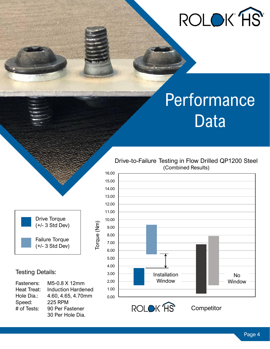

### Performance Data



Torque (Nm)

Torque (Nm)

#### Testing Details:

| Fasteners:    | M5-0.8 X 12mm             |
|---------------|---------------------------|
| Heat Treat:   | <b>Induction Hardened</b> |
| Hole Dia.:    | 4.60, 4.65, 4.70mm        |
| Speed:        | <b>225 RPM</b>            |
| $#$ of Tests: | 90 Per Fastener           |
|               | 30 Per Hole Dia.          |

#### Drive-to-Failure Testing in Flow Drilled QP1200 Steel (Combined Results)



**Competitor** 

Page 4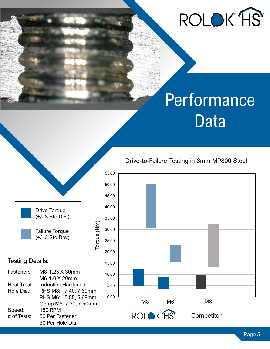

### Performance Data



#### Testing Details:

| Fasteners:  | M8-1.25 X 30mm            |
|-------------|---------------------------|
|             | M6-1.0 X 20mm             |
| Heat Treat: | <b>Induction Hardened</b> |
| Hole Dia.:  | RHS M8: 7.40, 7.60mm      |
|             | RHS M6: 5.55, 5.69mm      |
|             | Comp M8: 7.30, 7.50mm     |
| Speed:      | <b>150 RPM</b>            |
| # of Tests: | 60 Per Fastener           |
|             | 30 Per Hole Dia.          |

#### Drive-to-Failure Testing in 3mm MP800 Steel

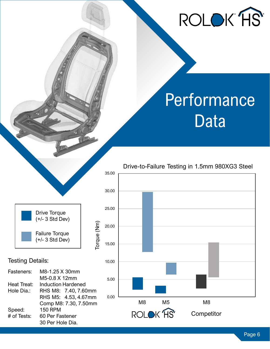## ROLOK HS

### Performance Data



#### Testing Details:

| Fasteners:  | M8-1.25 X 30mm            |
|-------------|---------------------------|
|             | M5-0.8 X 12mm             |
| Heat Treat: | <b>Induction Hardened</b> |
| Hole Dia.:  | RHS M8: 7.40, 7.60mm      |
|             | RHS M5: 4.53, 4.67mm      |
|             | Comp M8: 7.30, 7.50mm     |
| Speed:      | <b>150 RPM</b>            |
| # of Tests: | 60 Per Fastener           |
|             | 30 Per Hole Dia.          |

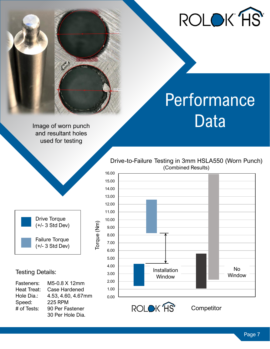

### Performance Image of worn punch **Data**

and resultant holes used for testing



Torque (Nm)

Torque (Nm)

#### Testing Details:

| Fasteners:  | M5-0.8 X 12mm      |
|-------------|--------------------|
| Heat Treat: | Case Hardened      |
| Hole Dia.:  | 4.53, 4.60, 4.67mm |
| Speed:      | <b>225 RPM</b>     |
| # of Tests: | 90 Per Fastener    |
|             | 30 Per Hole Dia.   |

Drive-to-Failure Testing in 3mm HSLA550 (Worn Punch) (Combined Results)





**Competitor**